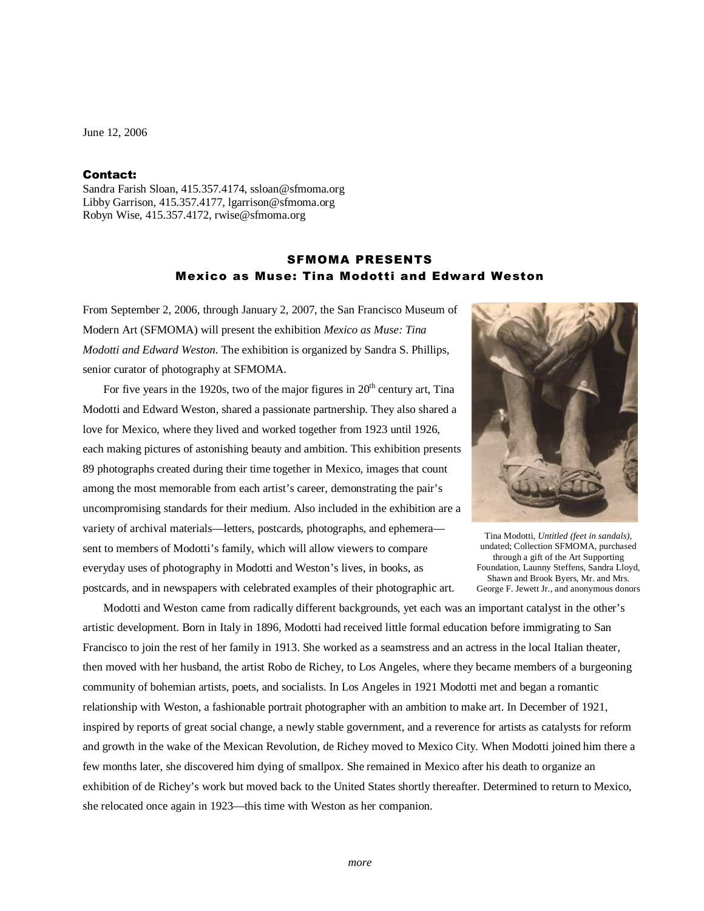June 12, 2006

## Contact:

Sandra Farish Sloan, 415.357.4174, ssloan@sfmoma.org Libby Garrison, 415.357.4177, lgarrison@sfmoma.org Robyn Wise, 415.357.4172, rwise@sfmoma.org

## SFMOMA PRESENTS Mexico as Muse: Tina Modotti and Edward Weston

From September 2, 2006, through January 2, 2007, the San Francisco Museum of Modern Art (SFMOMA) will present the exhibition *Mexico as Muse: Tina Modotti and Edward Weston*. The exhibition is organized by Sandra S. Phillips, senior curator of photography at SFMOMA.

For five years in the 1920s, two of the major figures in  $20<sup>th</sup>$  century art, Tina Modotti and Edward Weston, shared a passionate partnership. They also shared a love for Mexico, where they lived and worked together from 1923 until 1926, each making pictures of astonishing beauty and ambition. This exhibition presents 89 photographs created during their time together in Mexico, images that count among the most memorable from each artist's career, demonstrating the pair's uncompromising standards for their medium. Also included in the exhibition are a variety of archival materials—letters, postcards, photographs, and ephemera sent to members of Modotti's family, which will allow viewers to compare everyday uses of photography in Modotti and Weston's lives, in books, as postcards, and in newspapers with celebrated examples of their photographic art.



Tina Modotti, *Untitled (feet in sandals),* undated; Collection SFMOMA, purchased through a gift of the Art Supporting Foundation, Launny Steffens, Sandra Lloyd, Shawn and Brook Byers, Mr. and Mrs. George F. Jewett Jr., and anonymous donors

 Modotti and Weston came from radically different backgrounds, yet each was an important catalyst in the other's artistic development. Born in Italy in 1896, Modotti had received little formal education before immigrating to San Francisco to join the rest of her family in 1913. She worked as a seamstress and an actress in the local Italian theater, then moved with her husband, the artist Robo de Richey, to Los Angeles, where they became members of a burgeoning community of bohemian artists, poets, and socialists. In Los Angeles in 1921 Modotti met and began a romantic relationship with Weston, a fashionable portrait photographer with an ambition to make art. In December of 1921, inspired by reports of great social change, a newly stable government, and a reverence for artists as catalysts for reform and growth in the wake of the Mexican Revolution, de Richey moved to Mexico City. When Modotti joined him there a few months later, she discovered him dying of smallpox. She remained in Mexico after his death to organize an exhibition of de Richey's work but moved back to the United States shortly thereafter. Determined to return to Mexico, she relocated once again in 1923—this time with Weston as her companion.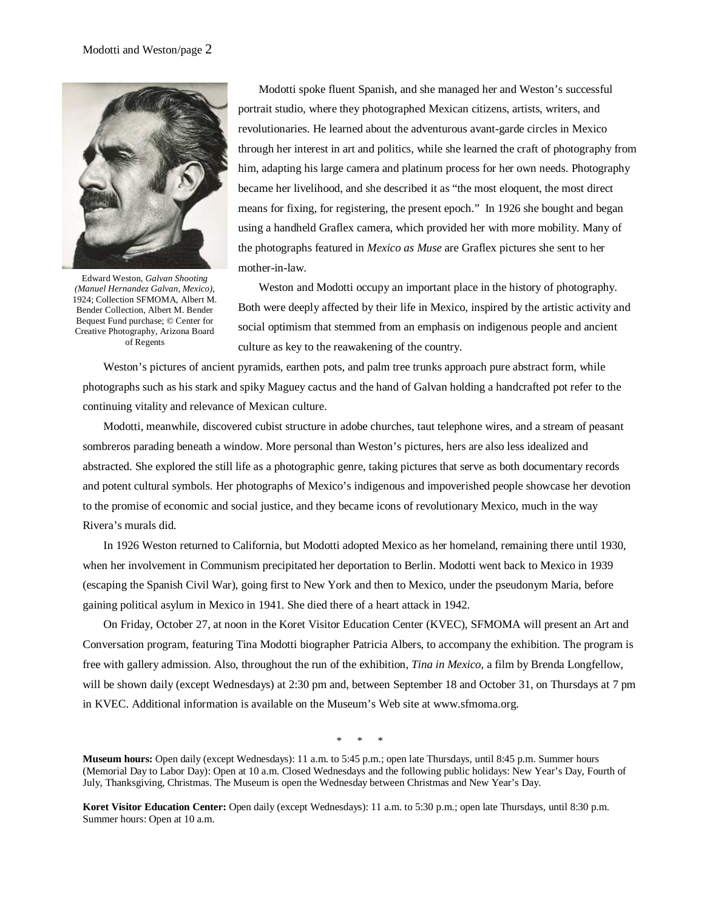

Edward Weston, *Galvan Shooting (Manuel Hernandez Galvan, Mexico),* 1924; Collection SFMOMA, Albert M. Bender Collection, Albert M. Bender Bequest Fund purchase; © Center for Creative Photography, Arizona Board of Regents

Modotti spoke fluent Spanish, and she managed her and Weston's successful portrait studio, where they photographed Mexican citizens, artists, writers, and revolutionaries. He learned about the adventurous avant-garde circles in Mexico through her interest in art and politics, while she learned the craft of photography from him, adapting his large camera and platinum process for her own needs. Photography became her livelihood, and she described it as "the most eloquent, the most direct means for fixing, for registering, the present epoch." In 1926 she bought and began using a handheld Graflex camera, which provided her with more mobility. Many of the photographs featured in *Mexico as Muse* are Graflex pictures she sent to her mother-in-law.

 Weston and Modotti occupy an important place in the history of photography. Both were deeply affected by their life in Mexico, inspired by the artistic activity and social optimism that stemmed from an emphasis on indigenous people and ancient culture as key to the reawakening of the country.

Weston's pictures of ancient pyramids, earthen pots, and palm tree trunks approach pure abstract form, while photographs such as his stark and spiky Maguey cactus and the hand of Galvan holding a handcrafted pot refer to the continuing vitality and relevance of Mexican culture.

 Modotti, meanwhile, discovered cubist structure in adobe churches, taut telephone wires, and a stream of peasant sombreros parading beneath a window. More personal than Weston's pictures, hers are also less idealized and abstracted. She explored the still life as a photographic genre, taking pictures that serve as both documentary records and potent cultural symbols. Her photographs of Mexico's indigenous and impoverished people showcase her devotion to the promise of economic and social justice, and they became icons of revolutionary Mexico, much in the way Rivera's murals did.

In 1926 Weston returned to California, but Modotti adopted Mexico as her homeland, remaining there until 1930, when her involvement in Communism precipitated her deportation to Berlin. Modotti went back to Mexico in 1939 (escaping the Spanish Civil War), going first to New York and then to Mexico, under the pseudonym Maria, before gaining political asylum in Mexico in 1941. She died there of a heart attack in 1942.

 On Friday, October 27, at noon in the Koret Visitor Education Center (KVEC), SFMOMA will present an Art and Conversation program, featuring Tina Modotti biographer Patricia Albers, to accompany the exhibition. The program is free with gallery admission. Also, throughout the run of the exhibition, *Tina in Mexico*, a film by Brenda Longfellow, will be shown daily (except Wednesdays) at 2:30 pm and, between September 18 and October 31, on Thursdays at 7 pm in KVEC. Additional information is available on the Museum's Web site at www.sfmoma.org.

\* \* \*

**Koret Visitor Education Center:** Open daily (except Wednesdays): 11 a.m. to 5:30 p.m.; open late Thursdays, until 8:30 p.m. Summer hours: Open at 10 a.m.

**Museum hours:** Open daily (except Wednesdays): 11 a.m. to 5:45 p.m.; open late Thursdays, until 8:45 p.m. Summer hours (Memorial Day to Labor Day): Open at 10 a.m. Closed Wednesdays and the following public holidays: New Year's Day, Fourth of July, Thanksgiving, Christmas. The Museum is open the Wednesday between Christmas and New Year's Day.